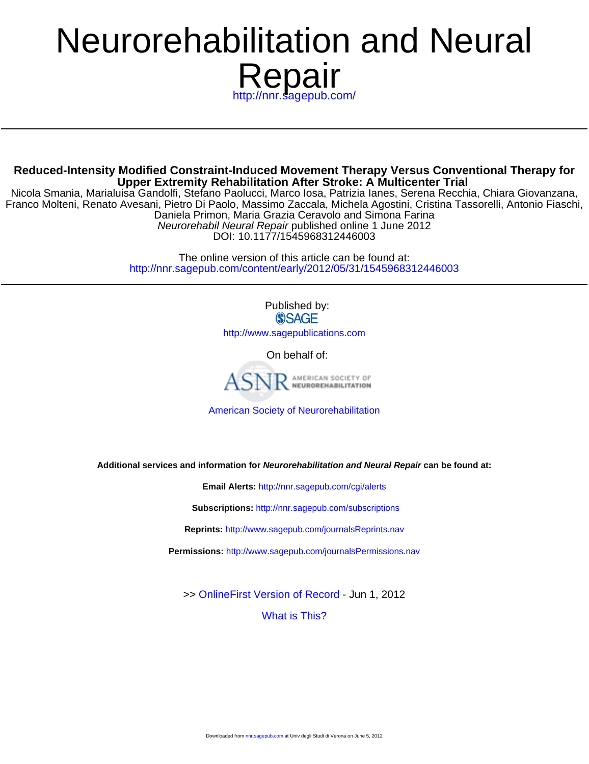# ://nnr.sagepub.com/ Repair Neurorehabilitation and Neural

**Upper Extremity Rehabilitation After Stroke: A Multicenter Trial Reduced-Intensity Modified Constraint-Induced Movement Therapy Versus Conventional Therapy for**

DOI: 10.1177/1545968312446003 Neurorehabil Neural Repair published online 1 June 2012 Daniela Primon, Maria Grazia Ceravolo and Simona Farina Franco Molteni, Renato Avesani, Pietro Di Paolo, Massimo Zaccala, Michela Agostini, Cristina Tassorelli, Antonio Fiaschi, Nicola Smania, Marialuisa Gandolfi, Stefano Paolucci, Marco Iosa, Patrizia Ianes, Serena Recchia, Chiara Giovanzana,

> <http://nnr.sagepub.com/content/early/2012/05/31/1545968312446003> The online version of this article can be found at:

> > Published by: **SSAGE** <http://www.sagepublications.com>

> > > On behalf of:



[American Society of Neurorehabilitation](http://www.asnr.com/)

**Additional services and information for Neurorehabilitation and Neural Repair can be found at:**

**Email Alerts:** <http://nnr.sagepub.com/cgi/alerts>

**Subscriptions:** <http://nnr.sagepub.com/subscriptions>

**Reprints:** <http://www.sagepub.com/journalsReprints.nav>

**Permissions:** <http://www.sagepub.com/journalsPermissions.nav>

>> [OnlineFirst Version of Record -](http://nnr.sagepub.com/content/early/2012/05/31/1545968312446003.full.pdf) Jun 1, 2012

[What is This?](http://online.sagepub.com/site/sphelp/vorhelp.xhtml)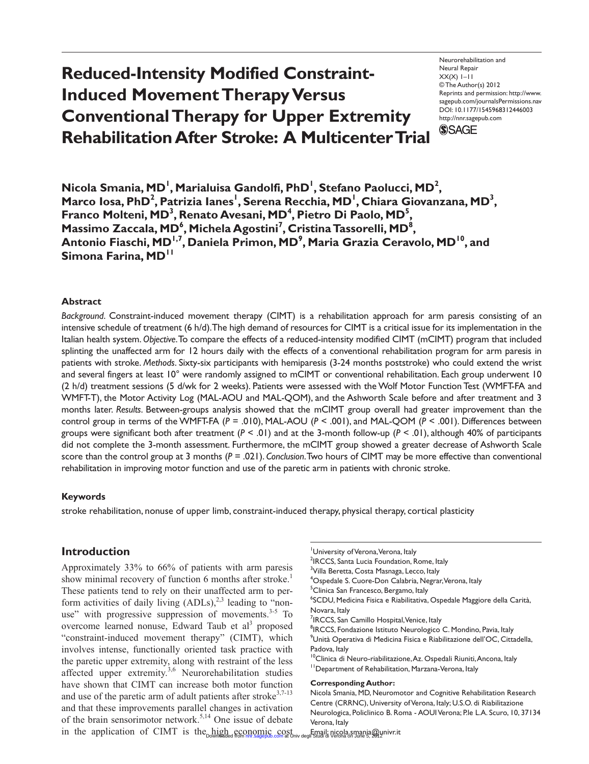# **Reduced-Intensity Modified Constraint-Induced Movement Therapy Versus Conventional Therapy for Upper Extremity Rehabilitation After Stroke: A Multicenter Trial**

Neurorehabilitation and Neural Repair  $XX(X)$  1–11 © The Author(s) 2012 Reprints and permission: http://www. sagepub.com/journalsPermissions.nav DOI: 10.1177/1545968312446003 http://nnr.sagepub.com **SSAGE** 

 $\bm{\mathsf{Nicola}}$  Smania,  $\bm{\mathsf{MD}}^\mathsf{I}$ , Marialuisa Gandolfi, PhD<sup>1</sup>, Stefano Paolucci,  $\bm{\mathsf{MD}}^2$ , Marco Iosa, PhD<sup>2</sup>, Patrizia Ianes<sup>I</sup>, Serena Recchia, MD<sup>I</sup>, Chiara Giovanzana, MD<sup>3</sup>, Franco Molteni, MD<sup>3</sup>, Renato Avesani, MD<sup>4</sup>, Pietro Di Paolo, MD<sup>5</sup>, Massimo Zaccala, MD<sup>6</sup>, Michela Agostini<sup>7</sup>, Cristina Tassorelli, MD<sup>8</sup>, Antonio Fiaschi, MD<sup>I,7</sup>, Daniela Primon, MD<sup>9</sup>, Maria Grazia Ceravolo, MD<sup>I0</sup>, and **Simona Farina, MD<sup>11</sup>**

#### **Abstract**

*Background*. Constraint-induced movement therapy (CIMT) is a rehabilitation approach for arm paresis consisting of an intensive schedule of treatment (6 h/d). The high demand of resources for CIMT is a critical issue for its implementation in the Italian health system. *Objective*. To compare the effects of a reduced-intensity modified CIMT (mCIMT) program that included splinting the unaffected arm for 12 hours daily with the effects of a conventional rehabilitation program for arm paresis in patients with stroke. *Methods*. Sixty-six participants with hemiparesis (3-24 months poststroke) who could extend the wrist and several fingers at least 10° were randomly assigned to mCIMT or conventional rehabilitation. Each group underwent 10 (2 h/d) treatment sessions (5 d/wk for 2 weeks). Patients were assessed with the Wolf Motor Function Test (WMFT-FA and WMFT-T), the Motor Activity Log (MAL-AOU and MAL-QOM), and the Ashworth Scale before and after treatment and 3 months later. *Results*. Between-groups analysis showed that the mCIMT group overall had greater improvement than the control group in terms of the WMFT-FA (*P* = .010), MAL-AOU (*P* < .001), and MAL-QOM (*P* < .001). Differences between groups were significant both after treatment  $(P < .01)$  and at the 3-month follow-up  $(P < .01)$ , although 40% of participants did not complete the 3-month assessment. Furthermore, the mCIMT group showed a greater decrease of Ashworth Scale score than the control group at 3 months (*P* = .021). *Conclusion*. Two hours of CIMT may be more effective than conventional rehabilitation in improving motor function and use of the paretic arm in patients with chronic stroke.

#### **Keywords**

stroke rehabilitation, nonuse of upper limb, constraint-induced therapy, physical therapy, cortical plasticity

# **Introduction**

Approximately 33% to 66% of patients with arm paresis show minimal recovery of function 6 months after stroke.<sup>1</sup> These patients tend to rely on their unaffected arm to perform activities of daily living  $(ADLs)$ ,<sup>2,3</sup> leading to "nonuse" with progressive suppression of movements. $3-5$  To overcome learned nonuse, Edward Taub et al<sup>3</sup> proposed "constraint-induced movement therapy" (CIMT), which involves intense, functionally oriented task practice with the paretic upper extremity, along with restraint of the less affected upper extremity.<sup>3,6</sup> Neurorehabilitation studies have shown that CIMT can increase both motor function and use of the paretic arm of adult patients after stroke<sup>3,7-13</sup> and that these improvements parallel changes in activation of the brain sensorimotor network.<sup>5,14</sup> One issue of debate in the application of CIMT is the high economic cost University of Verona, Verona, Italy

- <sup>2</sup>IRCCS, Santa Lucia Foundation, Rome, Italy
- <sup>3</sup>Villa Beretta, Costa Masnaga, Lecco, Italy
- <sup>4</sup>Ospedale S. Cuore-Don Calabria, Negrar,Verona, Italy

<sup>5</sup>Clinica San Francesco, Bergamo, Italy

- 6 SCDU, Medicina Fisica e Riabilitativa, Ospedale Maggiore della Carità, Novara, Italy
- <sup>7</sup>IRCCS, San Camillo Hospital, Venice, Italy
- <sup>8</sup>IRCCS, Fondazione Istituto Neurologico C. Mondino, Pavia, Italy

 $^9$ Unità Operativa di Medicina Fisica e Riabilitazione dell'OC, Cittadella, Padova, Italy

<sup>10</sup>Clinica di Neuro-riabilitazione, Az. Ospedali Riuniti, Ancona, Italy <sup>11</sup> Department of Rehabilitation, Marzana-Verona, Italy

#### **Corresponding Author:**

**Inigh economic cost Email: nicola.smania@univr.it**<br>Downloaded from [nnr.sagepub.com](http://nnr.sagepub.com/) at Univ degli Studi di Verona on June 5, 2012 nivr.it

Nicola Smania, MD, Neuromotor and Cognitive Rehabilitation Research Centre (CRRNC), University of Verona, Italy; U.S.O. di Riabilitazione Neurologica, Policlinico B. Roma - AOUI Verona; P.le L.A. Scuro, 10, 37134 Verona, Italy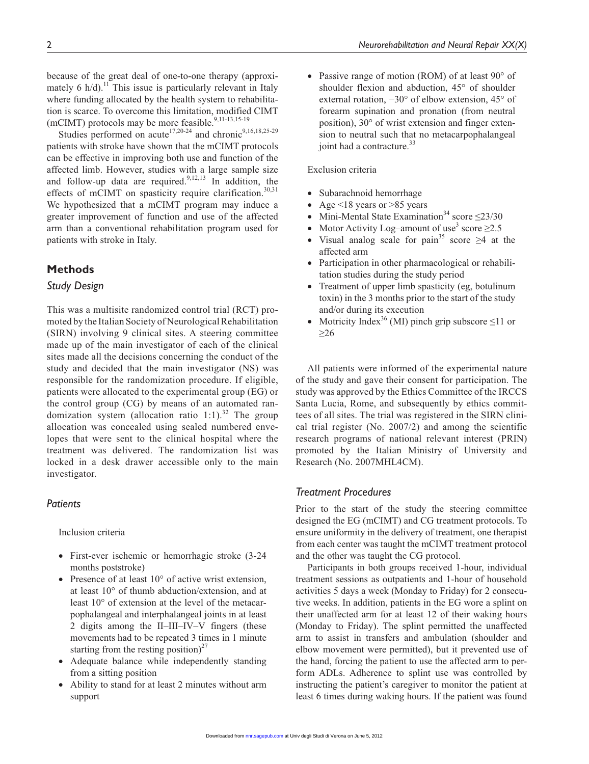because of the great deal of one-to-one therapy (approximately 6  $h/d$ ).<sup>11</sup> This issue is particularly relevant in Italy where funding allocated by the health system to rehabilitation is scarce. To overcome this limitation, modified CIMT (mCIMT) protocols may be more feasible. $9,11-13,15-19$ 

Studies performed on acute<sup>17,20-24</sup> and chronic<sup>9,16,18,25-29</sup> patients with stroke have shown that the mCIMT protocols can be effective in improving both use and function of the affected limb. However, studies with a large sample size and follow-up data are required. $9,12,13$  In addition, the effects of mCIMT on spasticity require clarification.<sup>30,31</sup> We hypothesized that a mCIMT program may induce a greater improvement of function and use of the affected arm than a conventional rehabilitation program used for patients with stroke in Italy.

# **Methods**

#### *Study Design*

This was a multisite randomized control trial (RCT) promoted by the Italian Society of Neurological Rehabilitation (SIRN) involving 9 clinical sites. A steering committee made up of the main investigator of each of the clinical sites made all the decisions concerning the conduct of the study and decided that the main investigator (NS) was responsible for the randomization procedure. If eligible, patients were allocated to the experimental group (EG) or the control group (CG) by means of an automated randomization system (allocation ratio 1:1).<sup>32</sup> The group allocation was concealed using sealed numbered envelopes that were sent to the clinical hospital where the treatment was delivered. The randomization list was locked in a desk drawer accessible only to the main investigator.

# *Patients*

Inclusion criteria

- First-ever ischemic or hemorrhagic stroke (3-24) months poststroke)
- Presence of at least 10° of active wrist extension, at least 10° of thumb abduction/extension, and at least 10° of extension at the level of the metacarpophalangeal and interphalangeal joints in at least 2 digits among the II–III–IV–V fingers (these movements had to be repeated 3 times in 1 minute starting from the resting position)<sup>27</sup>
- Adequate balance while independently standing from a sitting position
- Ability to stand for at least 2 minutes without arm support

• Passive range of motion (ROM) of at least 90 $^{\circ}$  of shoulder flexion and abduction, 45° of shoulder external rotation, −30° of elbow extension, 45° of forearm supination and pronation (from neutral position), 30° of wrist extension and finger extension to neutral such that no metacarpophalangeal joint had a contracture.<sup>33</sup>

#### Exclusion criteria

- Subarachnoid hemorrhage
- Age <18 years or >85 years
- Mini-Mental State Examination<sup>34</sup> score  $\leq$ 23/30
- Motor Activity Log-amount of use<sup>3</sup> score  $\geq$ 2.5
- Visual analog scale for pain<sup>35</sup> score  $\geq$ 4 at the affected arm
- Participation in other pharmacological or rehabilitation studies during the study period
- Treatment of upper limb spasticity (eg, botulinum toxin) in the 3 months prior to the start of the study and/or during its execution
- Motricity Index<sup>36</sup> (MI) pinch grip subscore  $\leq$ 11 or ≥26

All patients were informed of the experimental nature of the study and gave their consent for participation. The study was approved by the Ethics Committee of the IRCCS Santa Lucia, Rome, and subsequently by ethics committees of all sites. The trial was registered in the SIRN clinical trial register (No. 2007/2) and among the scientific research programs of national relevant interest (PRIN) promoted by the Italian Ministry of University and Research (No. 2007MHL4CM).

### *Treatment Procedures*

Prior to the start of the study the steering committee designed the EG (mCIMT) and CG treatment protocols. To ensure uniformity in the delivery of treatment, one therapist from each center was taught the mCIMT treatment protocol and the other was taught the CG protocol.

Participants in both groups received 1-hour, individual treatment sessions as outpatients and 1-hour of household activities 5 days a week (Monday to Friday) for 2 consecutive weeks. In addition, patients in the EG wore a splint on their unaffected arm for at least 12 of their waking hours (Monday to Friday). The splint permitted the unaffected arm to assist in transfers and ambulation (shoulder and elbow movement were permitted), but it prevented use of the hand, forcing the patient to use the affected arm to perform ADLs. Adherence to splint use was controlled by instructing the patient's caregiver to monitor the patient at least 6 times during waking hours. If the patient was found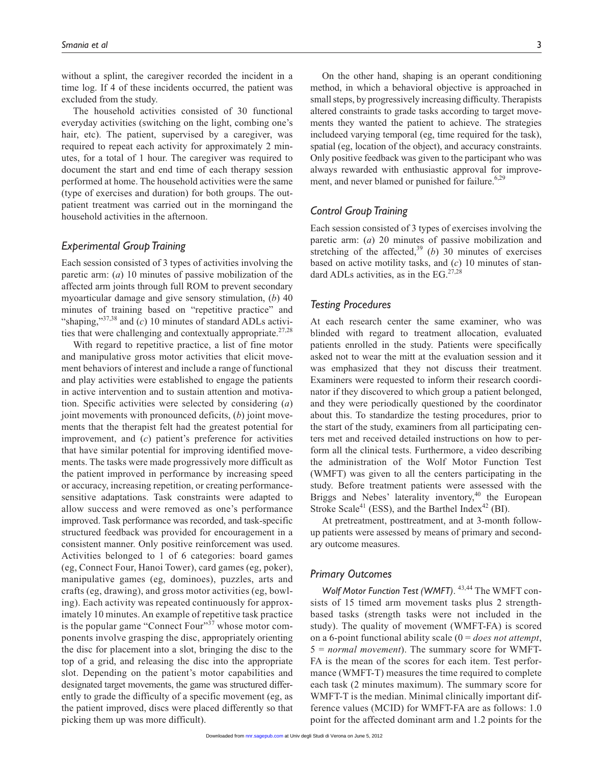without a splint, the caregiver recorded the incident in a time log. If 4 of these incidents occurred, the patient was excluded from the study.

The household activities consisted of 30 functional everyday activities (switching on the light, combing one's hair, etc). The patient, supervised by a caregiver, was required to repeat each activity for approximately 2 minutes, for a total of 1 hour. The caregiver was required to document the start and end time of each therapy session performed at home. The household activities were the same (type of exercises and duration) for both groups. The outpatient treatment was carried out in the morningand the household activities in the afternoon.

# *Experimental Group Training*

Each session consisted of 3 types of activities involving the paretic arm: (*a*) 10 minutes of passive mobilization of the affected arm joints through full ROM to prevent secondary myoarticular damage and give sensory stimulation, (*b*) 40 minutes of training based on "repetitive practice" and "shaping," $37,38$  and (*c*) 10 minutes of standard ADLs activities that were challenging and contextually appropriate.<sup>27,28</sup>

With regard to repetitive practice, a list of fine motor and manipulative gross motor activities that elicit movement behaviors of interest and include a range of functional and play activities were established to engage the patients in active intervention and to sustain attention and motivation. Specific activities were selected by considering (*a*) joint movements with pronounced deficits, (*b*) joint movements that the therapist felt had the greatest potential for improvement, and (*c*) patient's preference for activities that have similar potential for improving identified movements. The tasks were made progressively more difficult as the patient improved in performance by increasing speed or accuracy, increasing repetition, or creating performancesensitive adaptations. Task constraints were adapted to allow success and were removed as one's performance improved. Task performance was recorded, and task-specific structured feedback was provided for encouragement in a consistent manner. Only positive reinforcement was used. Activities belonged to 1 of 6 categories: board games (eg, Connect Four, Hanoi Tower), card games (eg, poker), manipulative games (eg, dominoes), puzzles, arts and crafts (eg, drawing), and gross motor activities (eg, bowling). Each activity was repeated continuously for approximately 10 minutes. An example of repetitive task practice is the popular game "Connect Four"<sup>37</sup> whose motor components involve grasping the disc, appropriately orienting the disc for placement into a slot, bringing the disc to the top of a grid, and releasing the disc into the appropriate slot. Depending on the patient's motor capabilities and designated target movements, the game was structured differently to grade the difficulty of a specific movement (eg, as the patient improved, discs were placed differently so that picking them up was more difficult).

On the other hand, shaping is an operant conditioning method, in which a behavioral objective is approached in small steps, by progressively increasing difficulty. Therapists altered constraints to grade tasks according to target movements they wanted the patient to achieve. The strategies includeed varying temporal (eg, time required for the task), spatial (eg, location of the object), and accuracy constraints. Only positive feedback was given to the participant who was always rewarded with enthusiastic approval for improvement, and never blamed or punished for failure. $6,29$ 

# *Control Group Training*

Each session consisted of 3 types of exercises involving the paretic arm: (*a*) 20 minutes of passive mobilization and stretching of the affected,<sup>39</sup> (*b*) 30 minutes of exercises based on active motility tasks, and (*c*) 10 minutes of standard ADLs activities, as in the EG. $27,28$ 

# *Testing Procedures*

At each research center the same examiner, who was blinded with regard to treatment allocation, evaluated patients enrolled in the study. Patients were specifically asked not to wear the mitt at the evaluation session and it was emphasized that they not discuss their treatment. Examiners were requested to inform their research coordinator if they discovered to which group a patient belonged, and they were periodically questioned by the coordinator about this. To standardize the testing procedures, prior to the start of the study, examiners from all participating centers met and received detailed instructions on how to perform all the clinical tests. Furthermore, a video describing the administration of the Wolf Motor Function Test (WMFT) was given to all the centers participating in the study. Before treatment patients were assessed with the Briggs and Nebes' laterality inventory,<sup>40</sup> the European Stroke Scale<sup>41</sup> (ESS), and the Barthel Index<sup>42</sup> (BI).

At pretreatment, posttreatment, and at 3-month followup patients were assessed by means of primary and secondary outcome measures.

#### *Primary Outcomes*

*Wolf Motor Function Test (WMFT)*. 43,44 The WMFT consists of 15 timed arm movement tasks plus 2 strengthbased tasks (strength tasks were not included in the study). The quality of movement (WMFT-FA) is scored on a 6-point functional ability scale (0 = *does not attempt*, 5 = *normal movement*). The summary score for WMFT-FA is the mean of the scores for each item. Test performance (WMFT-T) measures the time required to complete each task (2 minutes maximum). The summary score for WMFT-T is the median. Minimal clinically important difference values (MCID) for WMFT-FA are as follows: 1.0 point for the affected dominant arm and 1.2 points for the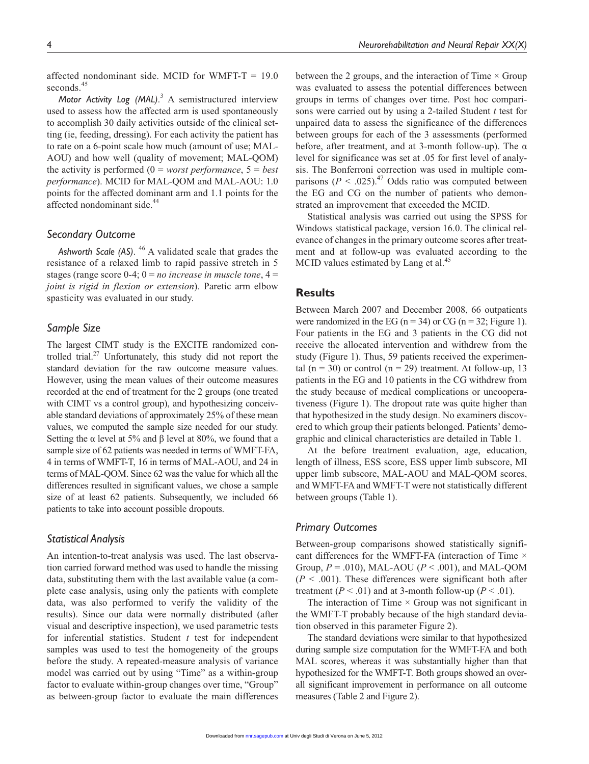affected nondominant side. MCID for WMFT-T  $= 19.0$ seconds.<sup>45</sup>

Motor Activity Log (MAL).<sup>3</sup> A semistructured interview used to assess how the affected arm is used spontaneously to accomplish 30 daily activities outside of the clinical setting (ie, feeding, dressing). For each activity the patient has to rate on a 6-point scale how much (amount of use; MAL-AOU) and how well (quality of movement; MAL-QOM) the activity is performed (0 = *worst performance*, 5 = *best performance*). MCID for MAL-QOM and MAL-AOU: 1.0 points for the affected dominant arm and 1.1 points for the affected nondominant side.<sup>44</sup>

# *Secondary Outcome*

*Ashworth Scale (AS)*. 46 A validated scale that grades the resistance of a relaxed limb to rapid passive stretch in 5 stages (range score  $0-4$ ;  $0 = no$  *increase in muscle tone*,  $4 =$ *joint is rigid in flexion or extension*). Paretic arm elbow spasticity was evaluated in our study.

#### *Sample Size*

The largest CIMT study is the EXCITE randomized controlled trial. $27$  Unfortunately, this study did not report the standard deviation for the raw outcome measure values. However, using the mean values of their outcome measures recorded at the end of treatment for the 2 groups (one treated with CIMT vs a control group), and hypothesizing conceivable standard deviations of approximately 25% of these mean values, we computed the sample size needed for our study. Setting the α level at 5% and β level at 80%, we found that a sample size of 62 patients was needed in terms of WMFT-FA, 4 in terms of WMFT-T, 16 in terms of MAL-AOU, and 24 in terms of MAL-QOM. Since 62 was the value for which all the differences resulted in significant values, we chose a sample size of at least 62 patients. Subsequently, we included 66 patients to take into account possible dropouts.

# *Statistical Analysis*

An intention-to-treat analysis was used. The last observation carried forward method was used to handle the missing data, substituting them with the last available value (a complete case analysis, using only the patients with complete data, was also performed to verify the validity of the results). Since our data were normally distributed (after visual and descriptive inspection), we used parametric tests for inferential statistics. Student *t* test for independent samples was used to test the homogeneity of the groups before the study. A repeated-measure analysis of variance model was carried out by using "Time" as a within-group factor to evaluate within-group changes over time, "Group" as between-group factor to evaluate the main differences

between the 2 groups, and the interaction of Time  $\times$  Group was evaluated to assess the potential differences between groups in terms of changes over time. Post hoc comparisons were carried out by using a 2-tailed Student *t* test for unpaired data to assess the significance of the differences between groups for each of the 3 assessments (performed before, after treatment, and at 3-month follow-up). The  $\alpha$ level for significance was set at .05 for first level of analysis. The Bonferroni correction was used in multiple comparisons ( $P < .025$ ).<sup>47</sup> Odds ratio was computed between the EG and CG on the number of patients who demonstrated an improvement that exceeded the MCID.

Statistical analysis was carried out using the SPSS for Windows statistical package, version 16.0. The clinical relevance of changes in the primary outcome scores after treatment and at follow-up was evaluated according to the MCID values estimated by Lang et al.<sup>45</sup>

# **Results**

Between March 2007 and December 2008, 66 outpatients were randomized in the EG ( $n = 34$ ) or CG ( $n = 32$ ; Figure 1). Four patients in the EG and 3 patients in the CG did not receive the allocated intervention and withdrew from the study (Figure 1). Thus, 59 patients received the experimental (n = 30) or control (n = 29) treatment. At follow-up, 13 patients in the EG and 10 patients in the CG withdrew from the study because of medical complications or uncooperativeness (Figure 1). The dropout rate was quite higher than that hypothesized in the study design. No examiners discovered to which group their patients belonged. Patients' demographic and clinical characteristics are detailed in Table 1.

At the before treatment evaluation, age, education, length of illness, ESS score, ESS upper limb subscore, MI upper limb subscore, MAL-AOU and MAL-QOM scores, and WMFT-FA and WMFT-T were not statistically different between groups (Table 1).

#### *Primary Outcomes*

Between-group comparisons showed statistically significant differences for the WMFT-FA (interaction of Time  $\times$ Group, *P* = .010), MAL-AOU (*P* < .001), and MAL-QOM  $(P < .001)$ . These differences were significant both after treatment ( $P < .01$ ) and at 3-month follow-up ( $P < .01$ ).

The interaction of Time  $\times$  Group was not significant in the WMFT-T probably because of the high standard deviation observed in this parameter Figure 2).

The standard deviations were similar to that hypothesized during sample size computation for the WMFT-FA and both MAL scores, whereas it was substantially higher than that hypothesized for the WMFT-T. Both groups showed an overall significant improvement in performance on all outcome measures (Table 2 and Figure 2).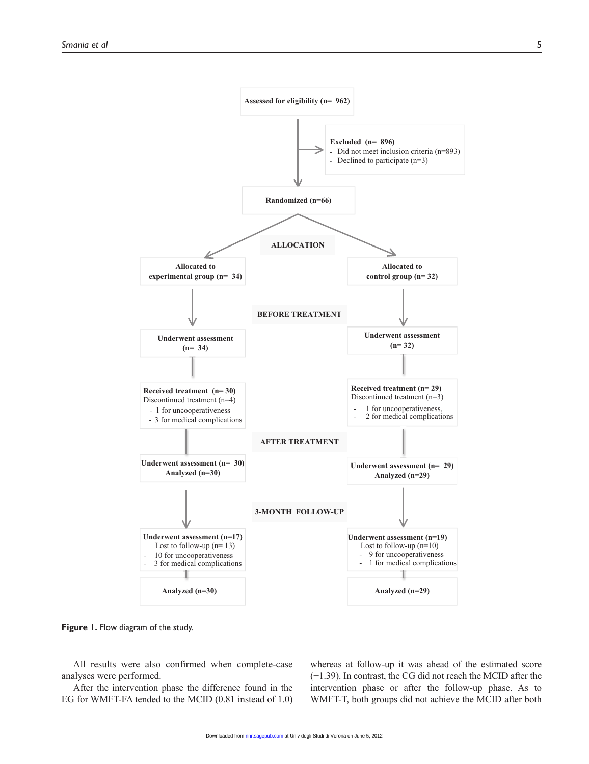

**Figure 1.** Flow diagram of the study.

All results were also confirmed when complete-case analyses were performed.

After the intervention phase the difference found in the EG for WMFT-FA tended to the MCID (0.81 instead of 1.0)

whereas at follow-up it was ahead of the estimated score (−1.39). In contrast, the CG did not reach the MCID after the intervention phase or after the follow-up phase. As to WMFT-T, both groups did not achieve the MCID after both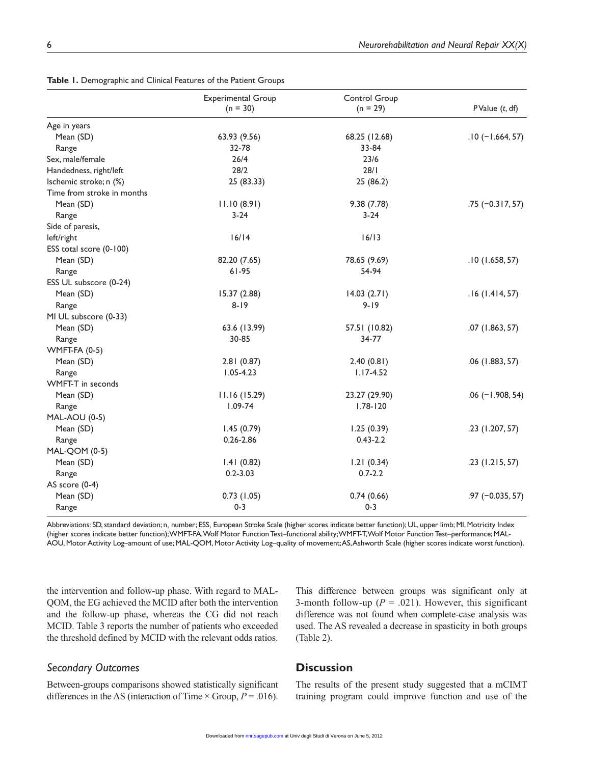|                            | <b>Experimental Group</b><br>$(n = 30)$ | Control Group<br>$(n = 29)$ | $P$ Value $(t, df)$ |
|----------------------------|-----------------------------------------|-----------------------------|---------------------|
| Age in years               |                                         |                             |                     |
| Mean (SD)                  | 63.93 (9.56)                            | 68.25 (12.68)               | $.10(-1.664, 57)$   |
| Range                      | 32-78                                   | 33-84                       |                     |
| Sex, male/female           | 26/4                                    | 23/6                        |                     |
| Handedness, right/left     | 28/2                                    | 28/1                        |                     |
| Ischemic stroke; n (%)     | 25 (83.33)                              | 25 (86.2)                   |                     |
| Time from stroke in months |                                         |                             |                     |
| Mean (SD)                  | 11.10(8.91)                             | 9.38(7.78)                  | $.75 (-0.317, 57)$  |
| Range                      | $3 - 24$                                | $3-24$                      |                     |
| Side of paresis,           |                                         |                             |                     |
| left/right                 | 16/14                                   | 16/13                       |                     |
| ESS total score (0-100)    |                                         |                             |                     |
| Mean (SD)                  | 82.20 (7.65)                            | 78.65 (9.69)                | .10(1.658, 57)      |
| Range                      | $61 - 95$                               | 54-94                       |                     |
| ESS UL subscore (0-24)     |                                         |                             |                     |
| Mean (SD)                  | 15.37 (2.88)                            | 14.03(2.71)                 | .16(1.414, 57)      |
| Range                      | $8 - 19$                                | $9 - 19$                    |                     |
| MI UL subscore (0-33)      |                                         |                             |                     |
| Mean (SD)                  | 63.6 (13.99)                            | 57.51 (10.82)               | .07(1.863, 57)      |
| Range                      | 30-85                                   | 34-77                       |                     |
| WMFT-FA (0-5)              |                                         |                             |                     |
| Mean (SD)                  | 2.81(0.87)                              | 2.40(0.81)                  | $.06$ (1.883, 57)   |
| Range                      | $1.05 - 4.23$                           | $1.17 - 4.52$               |                     |
| WMFT-T in seconds          |                                         |                             |                     |
| Mean (SD)                  | 11.16 (15.29)                           | 23.27 (29.90)               | $.06$ (-1.908, 54)  |
| Range                      | $1.09 - 74$                             | $1.78 - 120$                |                     |
| <b>MAL-AOU (0-5)</b>       |                                         |                             |                     |
| Mean (SD)                  | 1.45(0.79)                              | 1.25(0.39)                  | .23 (1.207, 57)     |
| Range                      | $0.26 - 2.86$                           | $0.43 - 2.2$                |                     |
| MAL-QOM (0-5)              |                                         |                             |                     |
| Mean (SD)                  | 1.41(0.82)                              | 1.21(0.34)                  | $.23$ (1.215, 57)   |
| Range                      | $0.2 - 3.03$                            | $0.7 - 2.2$                 |                     |
| AS score (0-4)             |                                         |                             |                     |
| Mean (SD)                  | 0.73(1.05)                              | 0.74(0.66)                  | $.97 (-0.035, 57)$  |
| Range                      | $0 - 3$                                 | $0 - 3$                     |                     |

**Table 1.** Demographic and Clinical Features of the Patient Groups

Abbreviations: SD, standard deviation; n, number; ESS, European Stroke Scale (higher scores indicate better function); UL, upper limb; MI, Motricity Index (higher scores indicate better function); WMFT-FA, Wolf Motor Function Test–functional ability; WMFT-T, Wolf Motor Function Test–performance; MAL-AOU, Motor Activity Log–amount of use; MAL-QOM, Motor Activity Log–quality of movement; AS, Ashworth Scale (higher scores indicate worst function).

the intervention and follow-up phase. With regard to MAL-QOM, the EG achieved the MCID after both the intervention and the follow-up phase, whereas the CG did not reach MCID. Table 3 reports the number of patients who exceeded the threshold defined by MCID with the relevant odds ratios.

# This difference between groups was significant only at 3-month follow-up  $(P = .021)$ . However, this significant difference was not found when complete-case analysis was used. The AS revealed a decrease in spasticity in both groups (Table 2).

# *Secondary Outcomes*

Between-groups comparisons showed statistically significant differences in the AS (interaction of Time  $\times$  Group,  $P = .016$ ).

# **Discussion**

The results of the present study suggested that a mCIMT training program could improve function and use of the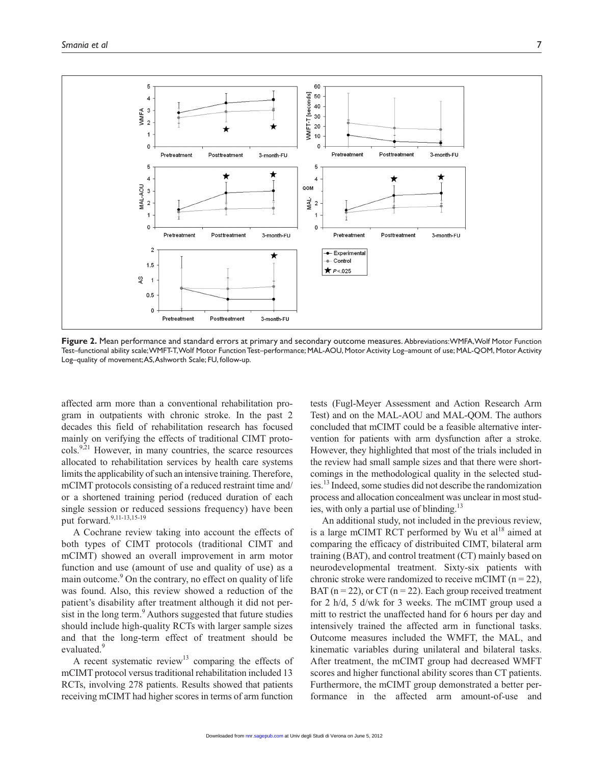

**Figure 2.** Mean performance and standard errors at primary and secondary outcome measures. Abbreviations: WMFA, Wolf Motor Function Test–functional ability scale; WMFT-T, Wolf Motor Function Test–performance; MAL-AOU, Motor Activity Log–amount of use; MAL-QOM, Motor Activity Log–quality of movement; AS, Ashworth Scale; FU, follow-up.

affected arm more than a conventional rehabilitation program in outpatients with chronic stroke. In the past 2 decades this field of rehabilitation research has focused mainly on verifying the effects of traditional CIMT proto- $\text{cols.}^{9,21}$  However, in many countries, the scarce resources allocated to rehabilitation services by health care systems limits the applicability of such an intensive training. Therefore, mCIMT protocols consisting of a reduced restraint time and/ or a shortened training period (reduced duration of each single session or reduced sessions frequency) have been put forward.<sup>9,11-13,15-19</sup>

A Cochrane review taking into account the effects of both types of CIMT protocols (traditional CIMT and mCIMT) showed an overall improvement in arm motor function and use (amount of use and quality of use) as a main outcome.<sup>9</sup> On the contrary, no effect on quality of life was found. Also, this review showed a reduction of the patient's disability after treatment although it did not persist in the long term.<sup>9</sup> Authors suggested that future studies should include high-quality RCTs with larger sample sizes and that the long-term effect of treatment should be evaluated.<sup>9</sup>

A recent systematic review<sup>13</sup> comparing the effects of mCIMT protocol versus traditional rehabilitation included 13 RCTs, involving 278 patients. Results showed that patients receiving mCIMT had higher scores in terms of arm function

tests (Fugl-Meyer Assessment and Action Research Arm Test) and on the MAL-AOU and MAL-QOM. The authors concluded that mCIMT could be a feasible alternative intervention for patients with arm dysfunction after a stroke. However, they highlighted that most of the trials included in the review had small sample sizes and that there were shortcomings in the methodological quality in the selected studies.13 Indeed, some studies did not describe the randomization process and allocation concealment was unclear in most studies, with only a partial use of blinding. $^{13}$ 

An additional study, not included in the previous review, is a large mCIMT RCT performed by Wu et  $al<sup>18</sup>$  aimed at comparing the efficacy of distribuited CIMT, bilateral arm training (BAT), and control treatment (CT) mainly based on neurodevelopmental treatment. Sixty-six patients with chronic stroke were randomized to receive mCIMT ( $n = 22$ ), BAT ( $n = 22$ ), or CT ( $n = 22$ ). Each group received treatment for 2 h/d, 5 d/wk for 3 weeks. The mCIMT group used a mitt to restrict the unaffected hand for 6 hours per day and intensively trained the affected arm in functional tasks. Outcome measures included the WMFT, the MAL, and kinematic variables during unilateral and bilateral tasks. After treatment, the mCIMT group had decreased WMFT scores and higher functional ability scores than CT patients. Furthermore, the mCIMT group demonstrated a better performance in the affected arm amount-of-use and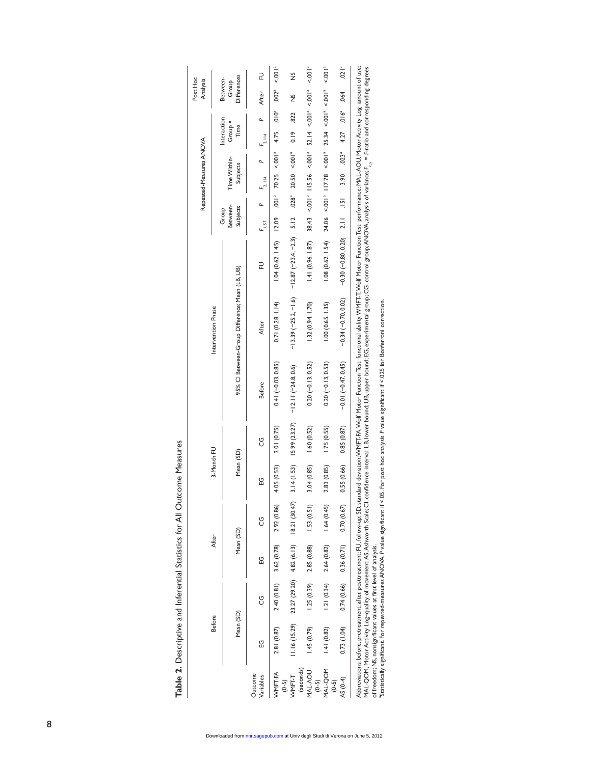| $\dot{\varsigma}$<br>ׇ֠ |
|-------------------------|
|                         |
|                         |
|                         |
|                         |
|                         |
| :<br>,<br>,<br>,        |
|                         |
| ;<br>;                  |
|                         |
|                         |
| I                       |
| l                       |
|                         |
|                         |
| ī                       |

| 근<br>$\frac{5}{2}$<br>Differences<br>Between-<br>Group<br>$52.14 \le 0.001^8 \le 0.001^8$<br>$25.34 \le 0.01^{a} \le 0.01^{a}$<br>$.002^{a}$<br>After<br>.064<br>$\frac{5}{2}$<br>$3.90$ $0.23$ <sup>3</sup> $4.27$ $0.16$ <sup>3</sup><br>$010^{a}$<br>822<br>Interaction<br>Group <sup>x</sup><br>Time<br>0.19<br>4.75<br>$F_{2,114}$<br>$< .001a$ 115.56 $< .001a$<br>$< 0.01a$ 117.78 $< 0.01a$<br>$20.50 \le 0.001^a$<br>$70.25 \le 0.01^a$<br>Time Within-<br>Subjects<br>$F_{2,1114}$<br>.028 <sup>a</sup><br>$\frac{1}{2}$<br>$-0.30(-0.80, 0.20)$ 2.11 .151<br>Between-<br>Subjects<br>Group<br>38.43<br>24.06<br>$-13.39(-25.2, -1.6)$ $-12.87(-23.4, -2.3)$ 5.12<br><b>12.09</b><br>$F_{1.57}$<br>1.04(0.62, 1.45)<br>1.41(0.96, 1.87)<br>1.08(0.62, 1.54)<br>군<br>95% Cl Between-Group Difference; Mean (LB, UB)<br>$-0.34(-0.70, 0.02)$<br>1.32(0.94, 1.70)<br>1.00(0.65, 1.35)<br>0.71(0.28, 1.14)<br>Intervention Phase<br>After<br>$-0.01(-0.47, 0.45)$<br>$0.20(-0.13, 0.52)$<br>$0.20(-0.13, 0.53)$<br>$0.41(-0.03, 0.85)$<br>$-12.11 (-24.8, 0.6)$<br><b>Before</b><br>$3.14(1.53)$ 15.99 (23.27)<br>0.85(0.87)<br>1.60(0.52)<br>1.75(0.55)<br>3.01 (0.75)<br>ပ္ပ<br>3-Month FU<br>Mean (SD)<br>3.04 (0.85)<br>0.55(0.66)<br>4.05 (0.53)<br>2.83 (0.85)<br>S<br>23.27 (29.20) 4.82 (6.13) 18.21 (30.47)<br>2.92 (0.86)<br>1.53(0.51)<br>1.64(0.45)<br>0.70(0.67)<br>ပ္ပ<br>Mean (SD)<br>After<br>$2.40(0.81)$ 3.62 (0.78)<br>$0.74(0.66)$ $0.36(0.71)$<br>$1.25(0.39)$ 2.85 $(0.88)$<br>2.64 (0.82)<br>ပ္မ<br>1.21(0.34)<br>U<br>Mean (SD)<br><b>Before</b><br>1.16(15.29)<br>(1.04)<br>1.45(0.79)<br>2.81 (0.87)<br>1.41(0.82)<br>ပ္ပ<br>$(0-5)$ |  |  |  |  |  |  | Repeated-Measures ANOVA |  | Post Hoc<br>Analysis |                     |
|----------------------------------------------------------------------------------------------------------------------------------------------------------------------------------------------------------------------------------------------------------------------------------------------------------------------------------------------------------------------------------------------------------------------------------------------------------------------------------------------------------------------------------------------------------------------------------------------------------------------------------------------------------------------------------------------------------------------------------------------------------------------------------------------------------------------------------------------------------------------------------------------------------------------------------------------------------------------------------------------------------------------------------------------------------------------------------------------------------------------------------------------------------------------------------------------------------------------------------------------------------------------------------------------------------------------------------------------------------------------------------------------------------------------------------------------------------------------------------------------------------------------------------------------------------------------------------------------------------------------------------------------------------------------|--|--|--|--|--|--|-------------------------|--|----------------------|---------------------|
| (seconds)<br>$(0-5)$<br>$(0-5)$                                                                                                                                                                                                                                                                                                                                                                                                                                                                                                                                                                                                                                                                                                                                                                                                                                                                                                                                                                                                                                                                                                                                                                                                                                                                                                                                                                                                                                                                                                                                                                                                                                      |  |  |  |  |  |  |                         |  |                      |                     |
| <b>MU-DOM</b><br>MAL-AOU<br>WMFT-FA<br>Outcome<br><b>MMFT-T</b><br>Variables<br>AS (0-4)                                                                                                                                                                                                                                                                                                                                                                                                                                                                                                                                                                                                                                                                                                                                                                                                                                                                                                                                                                                                                                                                                                                                                                                                                                                                                                                                                                                                                                                                                                                                                                             |  |  |  |  |  |  |                         |  |                      |                     |
|                                                                                                                                                                                                                                                                                                                                                                                                                                                                                                                                                                                                                                                                                                                                                                                                                                                                                                                                                                                                                                                                                                                                                                                                                                                                                                                                                                                                                                                                                                                                                                                                                                                                      |  |  |  |  |  |  |                         |  |                      |                     |
|                                                                                                                                                                                                                                                                                                                                                                                                                                                                                                                                                                                                                                                                                                                                                                                                                                                                                                                                                                                                                                                                                                                                                                                                                                                                                                                                                                                                                                                                                                                                                                                                                                                                      |  |  |  |  |  |  |                         |  |                      | $1001$ <sup>a</sup> |
|                                                                                                                                                                                                                                                                                                                                                                                                                                                                                                                                                                                                                                                                                                                                                                                                                                                                                                                                                                                                                                                                                                                                                                                                                                                                                                                                                                                                                                                                                                                                                                                                                                                                      |  |  |  |  |  |  |                         |  |                      |                     |
|                                                                                                                                                                                                                                                                                                                                                                                                                                                                                                                                                                                                                                                                                                                                                                                                                                                                                                                                                                                                                                                                                                                                                                                                                                                                                                                                                                                                                                                                                                                                                                                                                                                                      |  |  |  |  |  |  |                         |  |                      | 5001 <sup>a</sup>   |
|                                                                                                                                                                                                                                                                                                                                                                                                                                                                                                                                                                                                                                                                                                                                                                                                                                                                                                                                                                                                                                                                                                                                                                                                                                                                                                                                                                                                                                                                                                                                                                                                                                                                      |  |  |  |  |  |  |                         |  |                      | 1001                |
|                                                                                                                                                                                                                                                                                                                                                                                                                                                                                                                                                                                                                                                                                                                                                                                                                                                                                                                                                                                                                                                                                                                                                                                                                                                                                                                                                                                                                                                                                                                                                                                                                                                                      |  |  |  |  |  |  |                         |  |                      | $.021^{a}$          |

MA\_QOM,Moor Activity Log-quality of movement;AS,Asiworth Scale;Cl,confidence interval;LB,Iower bound;UB,upper bound;EG,experimental group;CG,control group;ANOVA,analysis of variance; F<sub>.,7</sub> = F-ratio and corresponding degr MAL-QOM, Motor Activity Log-quality of movement;AS,Ashworth Scale; CI, confidence interval; LB, lower bound; UB, upper bound; EG, experimental group; CG, control group;ANOVA, analysis of variance;F, = F-ratio and correspon

aStatistically significant. For repeated-measures ANOVA, *P* value significant if <.05. For post hoc analysis *P* value significant if <.025 for Bonferroni correction.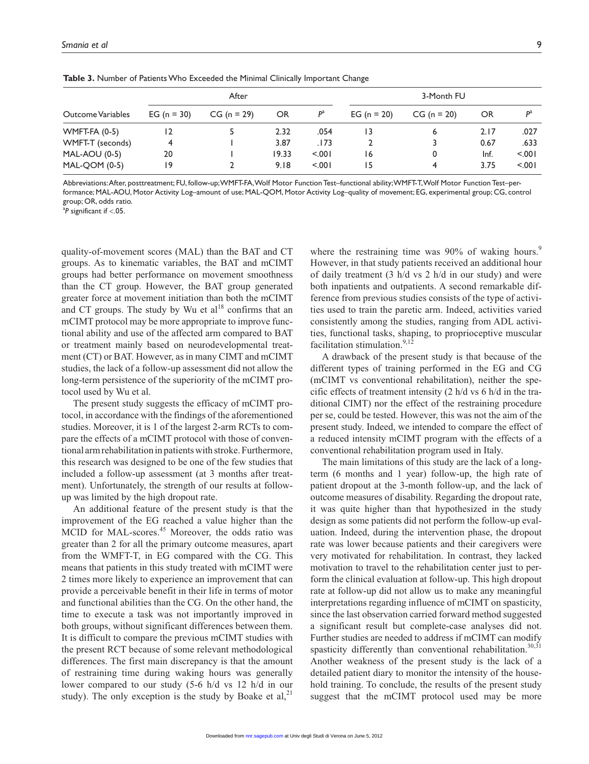|                         |                 | After         |       |         | 3-Month FU    |               |      |        |
|-------------------------|-----------------|---------------|-------|---------|---------------|---------------|------|--------|
| Outcome Variables       | EG ( $n = 30$ ) | $CG (n = 29)$ | OR    | $P^a$   | EG $(n = 20)$ | $CG (n = 20)$ | OR   | $D^a$  |
| <b>WMFT-FA (0-5)</b>    | $\overline{12}$ |               | 2.32  | .054    | 13            | 6             | 2.17 | .027   |
| <b>WMFT-T (seconds)</b> | 4               |               | 3.87  | . 173   |               | 3             | 0.67 | .633   |
| <b>MAL-AOU (0-5)</b>    | 20              |               | 19.33 | < 0.001 | 16            | 0             | Inf. | < .001 |
| <b>MAL-QOM (0-5)</b>    | و ا             |               | 9.18  | < 0.01  | 15            | 4             | 3.75 | < 0.01 |

**Table 3.** Number of Patients Who Exceeded the Minimal Clinically Important Change

Abbreviations: After, posttreatment; FU, follow-up; WMFT-FA, Wolf Motor Function Test–functional ability; WMFT-T, Wolf Motor Function Test–performance; MAL-AOU, Motor Activity Log–amount of use; MAL-QOM, Motor Activity Log–quality of movement; EG, experimental group; CG, control group; OR, odds ratio.

a *P* significant if <.05.

quality-of-movement scores (MAL) than the BAT and CT groups. As to kinematic variables, the BAT and mCIMT groups had better performance on movement smoothness than the CT group. However, the BAT group generated greater force at movement initiation than both the mCIMT and CT groups. The study by Wu et  $al^{18}$  confirms that an mCIMT protocol may be more appropriate to improve functional ability and use of the affected arm compared to BAT or treatment mainly based on neurodevelopmental treatment (CT) or BAT. However, as in many CIMT and mCIMT studies, the lack of a follow-up assessment did not allow the long-term persistence of the superiority of the mCIMT protocol used by Wu et al.

The present study suggests the efficacy of mCIMT protocol, in accordance with the findings of the aforementioned studies. Moreover, it is 1 of the largest 2-arm RCTs to compare the effects of a mCIMT protocol with those of conventional arm rehabilitation in patients with stroke. Furthermore, this research was designed to be one of the few studies that included a follow-up assessment (at 3 months after treatment). Unfortunately, the strength of our results at followup was limited by the high dropout rate.

An additional feature of the present study is that the improvement of the EG reached a value higher than the MCID for MAL-scores.<sup>45</sup> Moreover, the odds ratio was greater than 2 for all the primary outcome measures, apart from the WMFT-T, in EG compared with the CG. This means that patients in this study treated with mCIMT were 2 times more likely to experience an improvement that can provide a perceivable benefit in their life in terms of motor and functional abilities than the CG. On the other hand, the time to execute a task was not importantly improved in both groups, without significant differences between them. It is difficult to compare the previous mCIMT studies with the present RCT because of some relevant methodological differences. The first main discrepancy is that the amount of restraining time during waking hours was generally lower compared to our study (5-6 h/d vs 12 h/d in our study). The only exception is the study by Boake et al,  $2<sup>1</sup>$ 

where the restraining time was 90% of waking hours.<sup>9</sup> However, in that study patients received an additional hour of daily treatment (3 h/d vs 2 h/d in our study) and were both inpatients and outpatients. A second remarkable difference from previous studies consists of the type of activities used to train the paretic arm. Indeed, activities varied consistently among the studies, ranging from ADL activities, functional tasks, shaping, to proprioceptive muscular facilitation stimulation. $9,12$ 

A drawback of the present study is that because of the different types of training performed in the EG and CG (mCIMT vs conventional rehabilitation), neither the specific effects of treatment intensity (2 h/d vs 6 h/d in the traditional CIMT) nor the effect of the restraining procedure per se, could be tested. However, this was not the aim of the present study. Indeed, we intended to compare the effect of a reduced intensity mCIMT program with the effects of a conventional rehabilitation program used in Italy.

The main limitations of this study are the lack of a longterm (6 months and 1 year) follow-up, the high rate of patient dropout at the 3-month follow-up, and the lack of outcome measures of disability. Regarding the dropout rate, it was quite higher than that hypothesized in the study design as some patients did not perform the follow-up evaluation. Indeed, during the intervention phase, the dropout rate was lower because patients and their caregivers were very motivated for rehabilitation. In contrast, they lacked motivation to travel to the rehabilitation center just to perform the clinical evaluation at follow-up. This high dropout rate at follow-up did not allow us to make any meaningful interpretations regarding influence of mCIMT on spasticity, since the last observation carried forward method suggested a significant result but complete-case analyses did not. Further studies are needed to address if mCIMT can modify spasticity differently than conventional rehabilitation.<sup>30,31</sup> Another weakness of the present study is the lack of a detailed patient diary to monitor the intensity of the household training. To conclude, the results of the present study suggest that the mCIMT protocol used may be more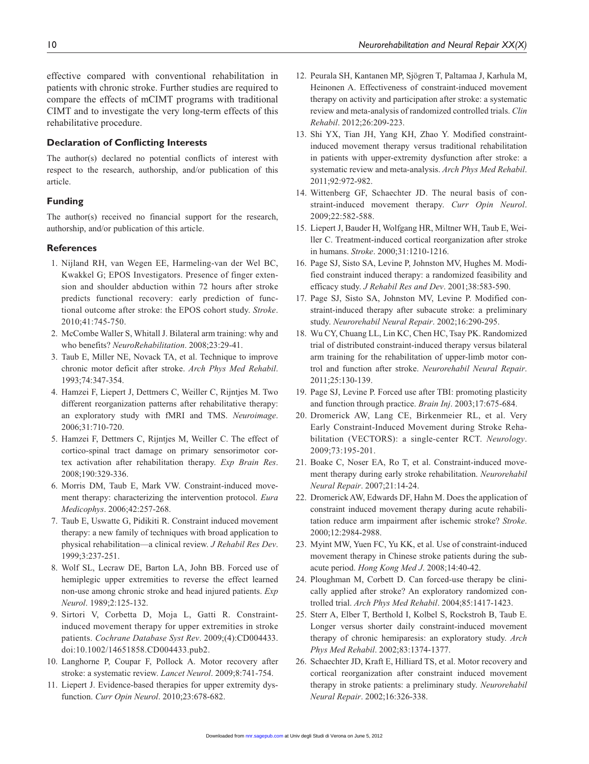effective compared with conventional rehabilitation in patients with chronic stroke. Further studies are required to compare the effects of mCIMT programs with traditional CIMT and to investigate the very long-term effects of this rehabilitative procedure.

#### **Declaration of Conflicting Interests**

The author(s) declared no potential conflicts of interest with respect to the research, authorship, and/or publication of this article.

### **Funding**

The author(s) received no financial support for the research, authorship, and/or publication of this article.

#### **References**

- 1. Nijland RH, van Wegen EE, Harmeling-van der Wel BC, Kwakkel G; EPOS Investigators. Presence of finger extension and shoulder abduction within 72 hours after stroke predicts functional recovery: early prediction of functional outcome after stroke: the EPOS cohort study. *Stroke*. 2010;41:745-750.
- 2. McCombe Waller S, Whitall J. Bilateral arm training: why and who benefits? *NeuroRehabilitation*. 2008;23:29-41.
- 3. Taub E, Miller NE, Novack TA, et al. Technique to improve chronic motor deficit after stroke. *Arch Phys Med Rehabil*. 1993;74:347-354.
- 4. Hamzei F, Liepert J, Dettmers C, Weiller C, Rijntjes M. Two different reorganization patterns after rehabilitative therapy: an exploratory study with fMRI and TMS. *Neuroimage*. 2006;31:710-720.
- 5. Hamzei F, Dettmers C, Rijntjes M, Weiller C. The effect of cortico-spinal tract damage on primary sensorimotor cortex activation after rehabilitation therapy. *Exp Brain Res*. 2008;190:329-336.
- 6. Morris DM, Taub E, Mark VW. Constraint-induced movement therapy: characterizing the intervention protocol. *Eura Medicophys*. 2006;42:257-268.
- 7. Taub E, Uswatte G, Pidikiti R. Constraint induced movement therapy: a new family of techniques with broad application to physical rehabilitation—a clinical review. *J Rehabil Res Dev*. 1999;3:237-251.
- 8. Wolf SL, Lecraw DE, Barton LA, John BB. Forced use of hemiplegic upper extremities to reverse the effect learned non-use among chronic stroke and head injured patients. *Exp Neurol*. 1989;2:125-132.
- 9. Sirtori V, Corbetta D, Moja L, Gatti R. Constraintinduced movement therapy for upper extremities in stroke patients. *Cochrane Database Syst Rev*. 2009;(4):CD004433. doi:10.1002/14651858.CD004433.pub2.
- 10. Langhorne P, Coupar F, Pollock A. Motor recovery after stroke: a systematic review. *Lancet Neurol*. 2009;8:741-754.
- 11. Liepert J. Evidence-based therapies for upper extremity dysfunction. *Curr Opin Neurol*. 2010;23:678-682.
- 12. Peurala SH, Kantanen MP, Sjögren T, Paltamaa J, Karhula M, Heinonen A. Effectiveness of constraint-induced movement therapy on activity and participation after stroke: a systematic review and meta-analysis of randomized controlled trials. *Clin Rehabil*. 2012;26:209-223.
- 13. Shi YX, Tian JH, Yang KH, Zhao Y. Modified constraintinduced movement therapy versus traditional rehabilitation in patients with upper-extremity dysfunction after stroke: a systematic review and meta-analysis. *Arch Phys Med Rehabil*. 2011;92:972-982.
- 14. Wittenberg GF, Schaechter JD. The neural basis of constraint-induced movement therapy. *Curr Opin Neurol*. 2009;22:582-588.
- 15. Liepert J, Bauder H, Wolfgang HR, Miltner WH, Taub E, Weiller C. Treatment-induced cortical reorganization after stroke in humans. *Stroke*. 2000;31:1210-1216.
- 16. Page SJ, Sisto SA, Levine P, Johnston MV, Hughes M. Modified constraint induced therapy: a randomized feasibility and efficacy study. *J Rehabil Res and Dev*. 2001;38:583-590.
- 17. Page SJ, Sisto SA, Johnston MV, Levine P. Modified constraint-induced therapy after subacute stroke: a preliminary study. *Neurorehabil Neural Repair*. 2002;16:290-295.
- 18. Wu CY, Chuang LL, Lin KC, Chen HC, Tsay PK. Randomized trial of distributed constraint-induced therapy versus bilateral arm training for the rehabilitation of upper-limb motor control and function after stroke. *Neurorehabil Neural Repair*. 2011;25:130-139.
- 19. Page SJ, Levine P. Forced use after TBI: promoting plasticity and function through practice. *Brain Inj*. 2003;17:675-684.
- 20. Dromerick AW, Lang CE, Birkenmeier RL, et al. Very Early Constraint-Induced Movement during Stroke Rehabilitation (VECTORS): a single-center RCT. *Neurology*. 2009;73:195-201.
- 21. Boake C, Noser EA, Ro T, et al. Constraint-induced movement therapy during early stroke rehabilitation. *Neurorehabil Neural Repair*. 2007;21:14-24.
- 22. Dromerick AW, Edwards DF, Hahn M. Does the application of constraint induced movement therapy during acute rehabilitation reduce arm impairment after ischemic stroke? *Stroke*. 2000;12:2984-2988.
- 23. Myint MW, Yuen FC, Yu KK, et al. Use of constraint-induced movement therapy in Chinese stroke patients during the subacute period. *Hong Kong Med J*. 2008;14:40-42.
- 24. Ploughman M, Corbett D. Can forced-use therapy be clinically applied after stroke? An exploratory randomized controlled trial. *Arch Phys Med Rehabil*. 2004;85:1417-1423.
- 25. Sterr A, Elber T, Berthold I, Kolbel S, Rockstroh B, Taub E. Longer versus shorter daily constraint-induced movement therapy of chronic hemiparesis: an exploratory study. *Arch Phys Med Rehabil*. 2002;83:1374-1377.
- 26. Schaechter JD, Kraft E, Hilliard TS, et al. Motor recovery and cortical reorganization after constraint induced movement therapy in stroke patients: a preliminary study. *Neurorehabil Neural Repair*. 2002;16:326-338.